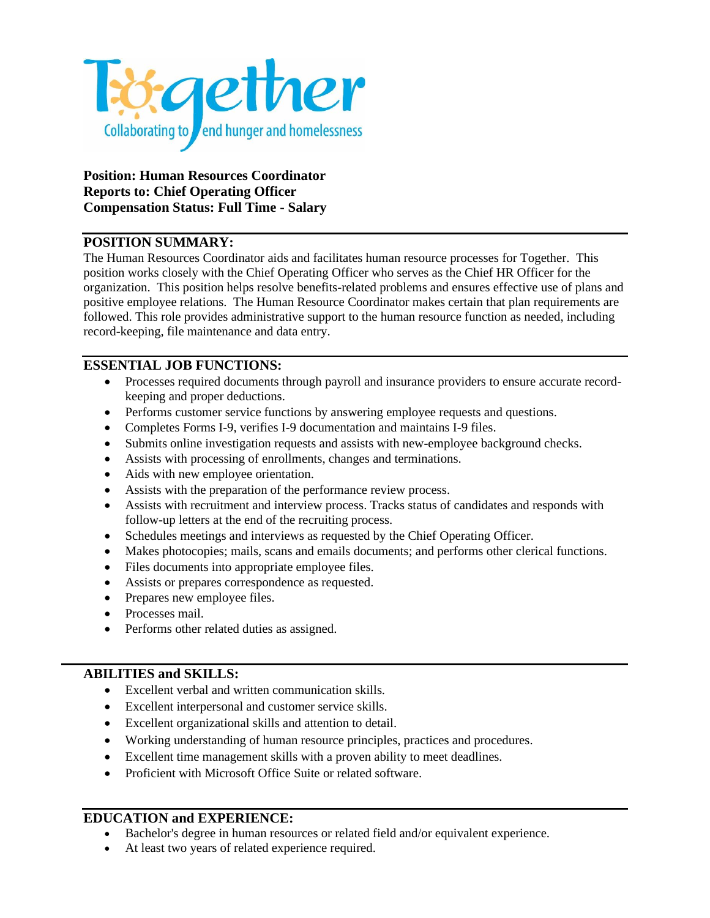

**Position: Human Resources Coordinator Reports to: Chief Operating Officer Compensation Status: Full Time - Salary**

## **POSITION SUMMARY:**

The Human Resources Coordinator aids and facilitates human resource processes for Together. This position works closely with the Chief Operating Officer who serves as the Chief HR Officer for the organization. This position helps resolve benefits-related problems and ensures effective use of plans and positive employee relations. The Human Resource Coordinator makes certain that plan requirements are followed. This role provides administrative support to the human resource function as needed, including record-keeping, file maintenance and data entry.

## **ESSENTIAL JOB FUNCTIONS:**

- Processes required documents through payroll and insurance providers to ensure accurate recordkeeping and proper deductions.
- Performs customer service functions by answering employee requests and questions.
- Completes Forms I-9, verifies I-9 documentation and maintains I-9 files.
- Submits online investigation requests and assists with new-employee background checks.
- Assists with processing of enrollments, changes and terminations.
- Aids with new employee orientation.
- Assists with the preparation of the performance review process.
- Assists with recruitment and interview process. Tracks status of candidates and responds with follow-up letters at the end of the recruiting process.
- Schedules meetings and interviews as requested by the Chief Operating Officer.
- Makes photocopies; mails, scans and emails documents; and performs other clerical functions.
- Files documents into appropriate employee files.
- Assists or prepares correspondence as requested.
- Prepares new employee files.
- Processes mail.
- Performs other related duties as assigned.

## **ABILITIES and SKILLS:**

- Excellent verbal and written communication skills.
- Excellent interpersonal and customer service skills.
- Excellent organizational skills and attention to detail.
- Working understanding of human resource principles, practices and procedures.
- Excellent time management skills with a proven ability to meet deadlines.
- Proficient with Microsoft Office Suite or related software.

## **EDUCATION and EXPERIENCE:**

- Bachelor's degree in human resources or related field and/or equivalent experience.
- At least two years of related experience required.